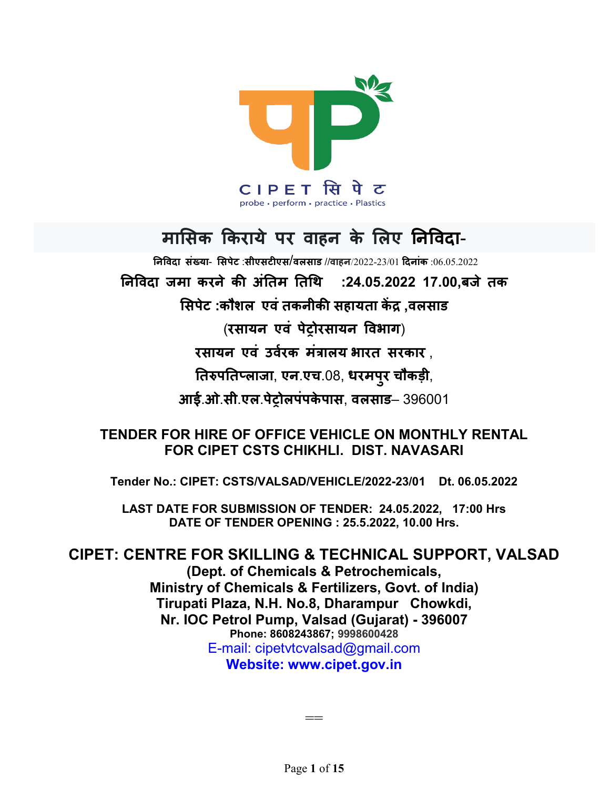

# मासिक किराये पर वाहन के लिए निविदा-

 $a$ निविटा संख्या- सिपेट :सीएसटीएस/वलसाड //वाहन/2022-23/01 दिनांक :06.05.2022 निविदा जमा करने की अंतिम तिथि :24.05.2022 17.00.बजे तक सिपेट :कौशल एवं तकनीकी सहायता केंद्र ,वलसाड (रसायन एवं पेटोरसायन विभाग) रसायन एवं उर्वरक मंत्रालय भारत सरकार . तिरुपतिप्लाजा, एन.एच.08, धरमपुर चौकड़ी, आई.ओ.सी.एल.पेटोलपंपकेपास, वलसाड– 396001

# TENDER FOR HIRE OF OFFICE VEHICLE ON MONTHLY RENTAL FOR CIPET CSTS CHIKHLI. DIST. NAVASARI

Tender No.: CIPET: CSTS/VALSAD/VEHICLE/2022-23/01 Dt. 06.05.2022

LAST DATE FOR SUBMISSION OF TENDER: 24.05.2022, 17:00 Hrs DATE OF TENDER OPENING : 25.5.2022, 10.00 Hrs.

CIPET: CENTRE FOR SKILLING & TECHNICAL SUPPORT, VALSAD (Dept. of Chemicals & Petrochemicals, Ministry of Chemicals & Fertilizers, Govt. of India) Tirupati Plaza, N.H. No.8, Dharampur Chowkdi, Nr. IOC Petrol Pump, Valsad (Gujarat) - 396007 Phone: 8608243867; 9998600428 E-mail: cipetvtcvalsad@gmail.com Website: www.cipet.gov.in

Page 1 of 15

==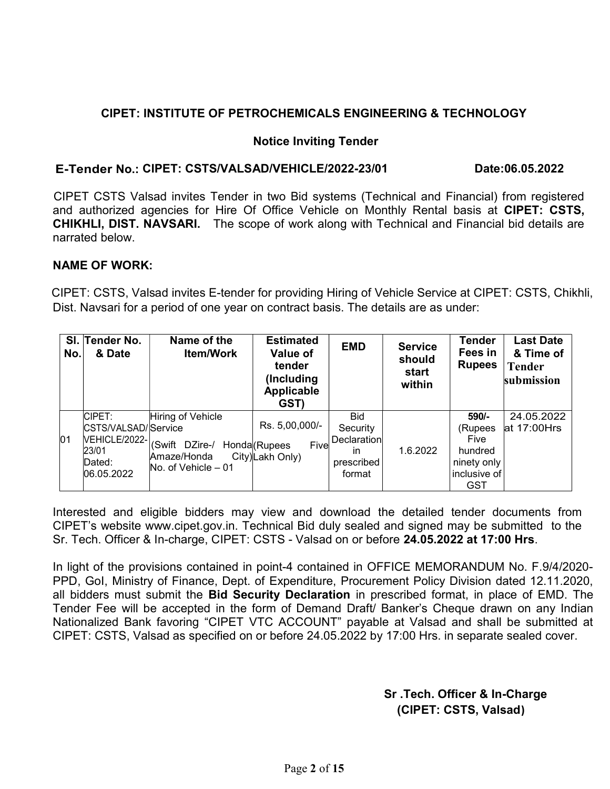# CIPET: INSTITUTE OF PETROCHEMICALS ENGINEERING & TECHNOLOGY

## Notice Inviting Tender

# E-Tender No.: CIPET: CSTS/VALSAD/VEHICLE/2022-23/01 Date:06.05.2022

 CIPET CSTS Valsad invites Tender in two Bid systems (Technical and Financial) from registered and authorized agencies for Hire Of Office Vehicle on Monthly Rental basis at CIPET: CSTS, CHIKHLI, DIST. NAVSARI. The scope of work along with Technical and Financial bid details are narrated below.

# NAME OF WORK:

 CIPET: CSTS, Valsad invites E-tender for providing Hiring of Vehicle Service at CIPET: CSTS, Chikhli, Dist. Navsari for a period of one year on contract basis. The details are as under:

|    | SI. Tender No.<br>No.                   | & Date        | Name of the<br><b>Item/Work</b>                                                                   | <b>Estimated</b><br>Value of<br>tender<br>(Including)<br><b>Applicable</b><br>GST) | <b>EMD</b>                                                          | <b>Service</b><br>should<br>start<br>within | Tender<br>Fees in<br><b>Rupees</b>                                            | <b>Last Date</b><br>& Time of<br>Tender<br>submission |
|----|-----------------------------------------|---------------|---------------------------------------------------------------------------------------------------|------------------------------------------------------------------------------------|---------------------------------------------------------------------|---------------------------------------------|-------------------------------------------------------------------------------|-------------------------------------------------------|
| 01 | CIPET:<br>23/01<br>Dated:<br>06.05.2022 | VEHICLE/2022- | Hiring of Vehicle<br>CSTS/VALSAD/Service<br>(Swift DZire-/<br>Amaze/Honda<br>No. of Vehicle $-01$ | Rs. 5,00,000/-<br>Fivel<br>Honda (Rupees<br>City)Lakh Only)                        | <b>Bid</b><br>Security<br>Declaration<br>in<br>prescribed<br>format | 1.6.2022                                    | 590/-<br>(Rupees<br>Five<br>hundred<br>ninety only<br>l inclusive of l<br>GST | 24.05.2022<br>$at 17:00$ Hrs                          |

Interested and eligible bidders may view and download the detailed tender documents from CIPET's website www.cipet.gov.in. Technical Bid duly sealed and signed may be submitted to the Sr. Tech. Officer & In-charge, CIPET: CSTS - Valsad on or before 24.05.2022 at 17:00 Hrs.

In light of the provisions contained in point-4 contained in OFFICE MEMORANDUM No. F.9/4/2020- PPD, GoI, Ministry of Finance, Dept. of Expenditure, Procurement Policy Division dated 12.11.2020, all bidders must submit the Bid Security Declaration in prescribed format, in place of EMD. The Tender Fee will be accepted in the form of Demand Draft/ Banker's Cheque drawn on any Indian Nationalized Bank favoring "CIPET VTC ACCOUNT" payable at Valsad and shall be submitted at CIPET: CSTS, Valsad as specified on or before 24.05.2022 by 17:00 Hrs. in separate sealed cover.

> Sr .Tech. Officer & In-Charge (CIPET: CSTS, Valsad)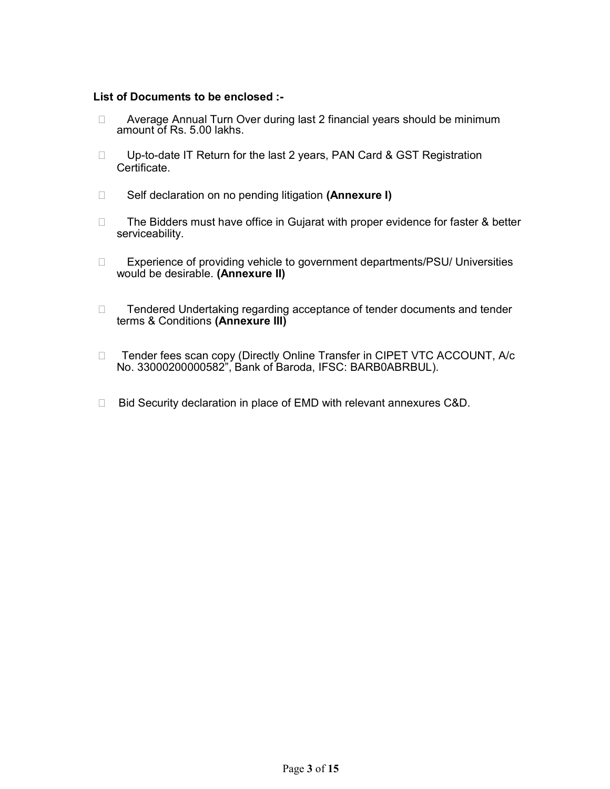#### List of Documents to be enclosed :-

- □ Average Annual Turn Over during last 2 financial years should be minimum amount of Rs. 5.00 lakhs.
- □ Up-to-date IT Return for the last 2 years, PAN Card & GST Registration Certificate.
- □ Self declaration on no pending litigation (Annexure I)
- $\Box$  The Bidders must have office in Gujarat with proper evidence for faster & better serviceability.
- □ Experience of providing vehicle to government departments/PSU/ Universities would be desirable. (Annexure II)
- □ Fendered Undertaking regarding acceptance of tender documents and tender terms & Conditions (Annexure III)
- □ Tender fees scan copy (Directly Online Transfer in CIPET VTC ACCOUNT, A/c No. 33000200000582", Bank of Baroda, IFSC: BARB0ABRBUL).
- □ Bid Security declaration in place of EMD with relevant annexures C&D.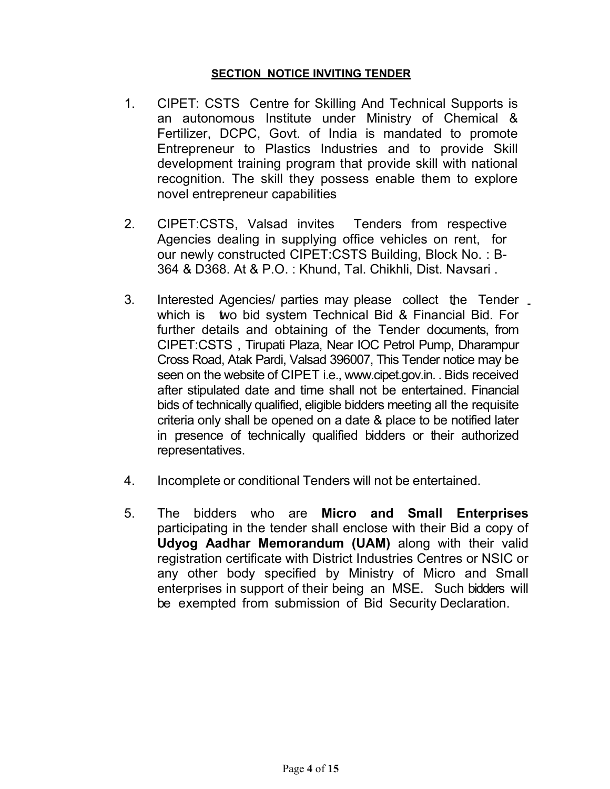# SECTION NOTICE INVITING TENDER

- 1. CIPET: CSTS Centre for Skilling And Technical Supports is an autonomous Institute under Ministry of Chemical & Fertilizer, DCPC, Govt. of India is mandated to promote Entrepreneur to Plastics Industries and to provide Skill development training program that provide skill with national recognition. The skill they possess enable them to explore novel entrepreneur capabilities
- 2. CIPET:CSTS, Valsad invites Tenders from respective Agencies dealing in supplying office vehicles on rent, for our newly constructed CIPET:CSTS Building, Block No. : B-364 & D368. At & P.O. : Khund, Tal. Chikhli, Dist. Navsari .
- 3. Interested Agencies/ parties may please collect the Tender which is two bid system Technical Bid & Financial Bid. For further details and obtaining of the Tender documents, from CIPET:CSTS , Tirupati Plaza, Near IOC Petrol Pump, Dharampur Cross Road, Atak Pardi, Valsad 396007, This Tender notice may be seen on the website of CIPET i.e., www.cipet.gov.in. . Bids received after stipulated date and time shall not be entertained. Financial bids of technically qualified, eligible bidders meeting all the requisite criteria only shall be opened on a date & place to be notified later in presence of technically qualified bidders or their authorized representatives.
- 4. Incomplete or conditional Tenders will not be entertained.
- 5. The bidders who are Micro and Small Enterprises participating in the tender shall enclose with their Bid a copy of Udyog Aadhar Memorandum (UAM) along with their valid registration certificate with District Industries Centres or NSIC or any other body specified by Ministry of Micro and Small enterprises in support of their being an MSE. Such bidders will be exempted from submission of Bid Security Declaration.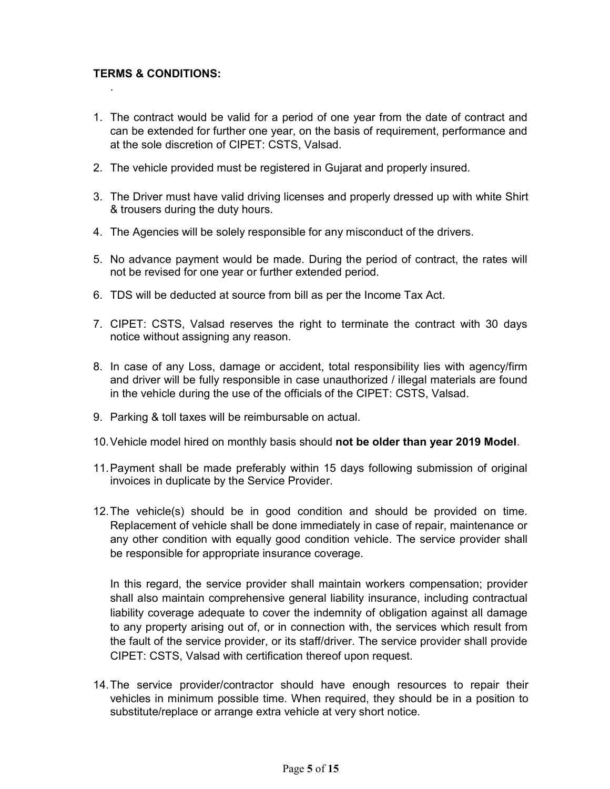### TERMS & CONDITIONS:

.

- 1. The contract would be valid for a period of one year from the date of contract and can be extended for further one year, on the basis of requirement, performance and at the sole discretion of CIPET: CSTS, Valsad.
- 2. The vehicle provided must be registered in Gujarat and properly insured.
- 3. The Driver must have valid driving licenses and properly dressed up with white Shirt & trousers during the duty hours.
- 4. The Agencies will be solely responsible for any misconduct of the drivers.
- 5. No advance payment would be made. During the period of contract, the rates will not be revised for one year or further extended period.
- 6. TDS will be deducted at source from bill as per the Income Tax Act.
- 7. CIPET: CSTS, Valsad reserves the right to terminate the contract with 30 days notice without assigning any reason.
- 8. In case of any Loss, damage or accident, total responsibility lies with agency/firm and driver will be fully responsible in case unauthorized / illegal materials are found in the vehicle during the use of the officials of the CIPET: CSTS, Valsad.
- 9. Parking & toll taxes will be reimbursable on actual.
- 10. Vehicle model hired on monthly basis should not be older than year 2019 Model.
- 11. Payment shall be made preferably within 15 days following submission of original invoices in duplicate by the Service Provider.
- 12. The vehicle(s) should be in good condition and should be provided on time. Replacement of vehicle shall be done immediately in case of repair, maintenance or any other condition with equally good condition vehicle. The service provider shall be responsible for appropriate insurance coverage.

In this regard, the service provider shall maintain workers compensation; provider shall also maintain comprehensive general liability insurance, including contractual liability coverage adequate to cover the indemnity of obligation against all damage to any property arising out of, or in connection with, the services which result from the fault of the service provider, or its staff/driver. The service provider shall provide CIPET: CSTS, Valsad with certification thereof upon request.

14. The service provider/contractor should have enough resources to repair their vehicles in minimum possible time. When required, they should be in a position to substitute/replace or arrange extra vehicle at very short notice.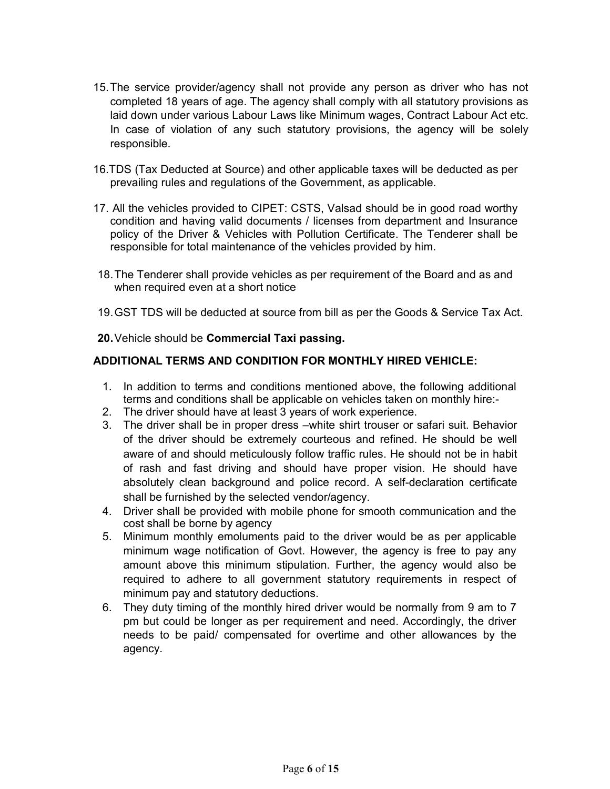- 15. The service provider/agency shall not provide any person as driver who has not completed 18 years of age. The agency shall comply with all statutory provisions as laid down under various Labour Laws like Minimum wages, Contract Labour Act etc. In case of violation of any such statutory provisions, the agency will be solely responsible.
- 16.TDS (Tax Deducted at Source) and other applicable taxes will be deducted as per prevailing rules and regulations of the Government, as applicable.
- 17. All the vehicles provided to CIPET: CSTS, Valsad should be in good road worthy condition and having valid documents / licenses from department and Insurance policy of the Driver & Vehicles with Pollution Certificate. The Tenderer shall be responsible for total maintenance of the vehicles provided by him.
- 18. The Tenderer shall provide vehicles as per requirement of the Board and as and when required even at a short notice
- 19. GST TDS will be deducted at source from bill as per the Goods & Service Tax Act.
- 20. Vehicle should be Commercial Taxi passing.

### ADDITIONAL TERMS AND CONDITION FOR MONTHLY HIRED VEHICLE:

- 1. In addition to terms and conditions mentioned above, the following additional terms and conditions shall be applicable on vehicles taken on monthly hire:-
- 2. The driver should have at least 3 years of work experience.
- 3. The driver shall be in proper dress –white shirt trouser or safari suit. Behavior of the driver should be extremely courteous and refined. He should be well aware of and should meticulously follow traffic rules. He should not be in habit of rash and fast driving and should have proper vision. He should have absolutely clean background and police record. A self-declaration certificate shall be furnished by the selected vendor/agency.
- 4. Driver shall be provided with mobile phone for smooth communication and the cost shall be borne by agency
- 5. Minimum monthly emoluments paid to the driver would be as per applicable minimum wage notification of Govt. However, the agency is free to pay any amount above this minimum stipulation. Further, the agency would also be required to adhere to all government statutory requirements in respect of minimum pay and statutory deductions.
- 6. They duty timing of the monthly hired driver would be normally from 9 am to 7 pm but could be longer as per requirement and need. Accordingly, the driver needs to be paid/ compensated for overtime and other allowances by the agency.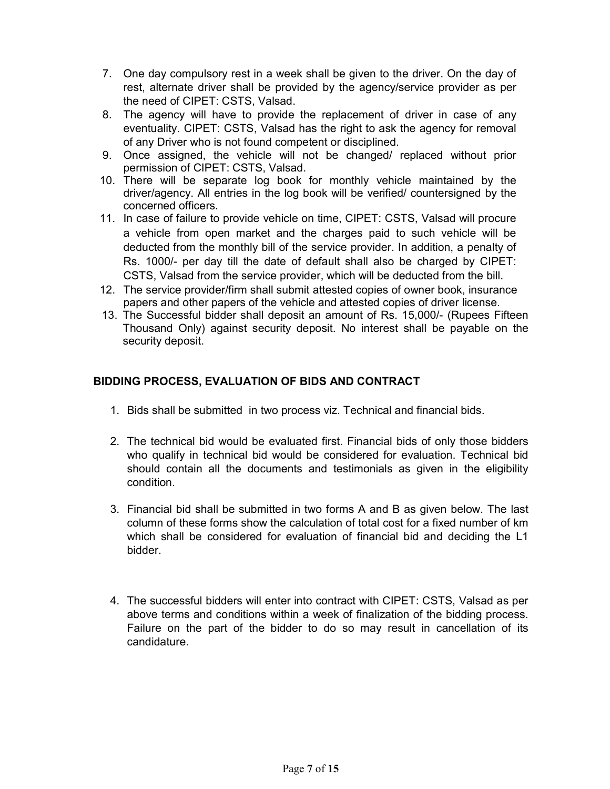- 7. One day compulsory rest in a week shall be given to the driver. On the day of rest, alternate driver shall be provided by the agency/service provider as per the need of CIPET: CSTS, Valsad.
- 8. The agency will have to provide the replacement of driver in case of any eventuality. CIPET: CSTS, Valsad has the right to ask the agency for removal of any Driver who is not found competent or disciplined.
- 9. Once assigned, the vehicle will not be changed/ replaced without prior permission of CIPET: CSTS, Valsad.
- 10. There will be separate log book for monthly vehicle maintained by the driver/agency. All entries in the log book will be verified/ countersigned by the concerned officers.
- 11. In case of failure to provide vehicle on time, CIPET: CSTS, Valsad will procure a vehicle from open market and the charges paid to such vehicle will be deducted from the monthly bill of the service provider. In addition, a penalty of Rs. 1000/- per day till the date of default shall also be charged by CIPET: CSTS, Valsad from the service provider, which will be deducted from the bill.
- 12. The service provider/firm shall submit attested copies of owner book, insurance papers and other papers of the vehicle and attested copies of driver license.
- 13. The Successful bidder shall deposit an amount of Rs. 15,000/- (Rupees Fifteen Thousand Only) against security deposit. No interest shall be payable on the security deposit.

## BIDDING PROCESS, EVALUATION OF BIDS AND CONTRACT

- 1. Bids shall be submitted in two process viz. Technical and financial bids.
- 2. The technical bid would be evaluated first. Financial bids of only those bidders who qualify in technical bid would be considered for evaluation. Technical bid should contain all the documents and testimonials as given in the eligibility condition.
- 3. Financial bid shall be submitted in two forms A and B as given below. The last column of these forms show the calculation of total cost for a fixed number of km which shall be considered for evaluation of financial bid and deciding the L1 bidder.
- 4. The successful bidders will enter into contract with CIPET: CSTS, Valsad as per above terms and conditions within a week of finalization of the bidding process. Failure on the part of the bidder to do so may result in cancellation of its candidature.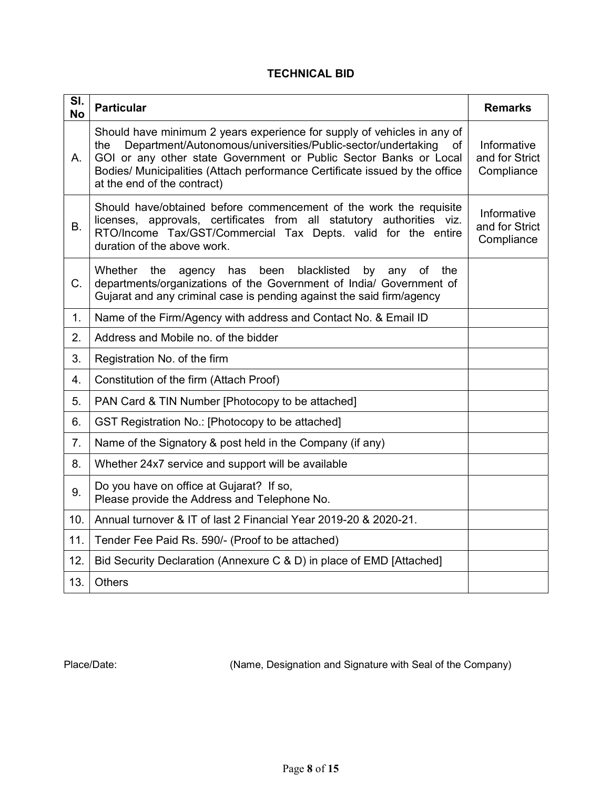# TECHNICAL BID

| SI.<br><b>No</b> | <b>Particular</b>                                                                                                                                                                                                                                                                                                                       | <b>Remarks</b>                              |  |  |  |  |
|------------------|-----------------------------------------------------------------------------------------------------------------------------------------------------------------------------------------------------------------------------------------------------------------------------------------------------------------------------------------|---------------------------------------------|--|--|--|--|
| Α.               | Should have minimum 2 years experience for supply of vehicles in any of<br>Department/Autonomous/universities/Public-sector/undertaking<br>the<br>of<br>GOI or any other state Government or Public Sector Banks or Local<br>Bodies/ Municipalities (Attach performance Certificate issued by the office<br>at the end of the contract) | Informative<br>and for Strict<br>Compliance |  |  |  |  |
| <b>B.</b>        | Should have/obtained before commencement of the work the requisite<br>licenses, approvals, certificates from all statutory authorities viz.<br>RTO/Income Tax/GST/Commercial Tax Depts. valid for the entire<br>duration of the above work.                                                                                             | Informative<br>and for Strict<br>Compliance |  |  |  |  |
| C.               | Whether<br>the<br>agency has been<br>blacklisted<br>by<br>the<br>any<br>of<br>departments/organizations of the Government of India/ Government of<br>Gujarat and any criminal case is pending against the said firm/agency                                                                                                              |                                             |  |  |  |  |
| 1 <sub>1</sub>   | Name of the Firm/Agency with address and Contact No. & Email ID                                                                                                                                                                                                                                                                         |                                             |  |  |  |  |
| 2.               | Address and Mobile no. of the bidder                                                                                                                                                                                                                                                                                                    |                                             |  |  |  |  |
| 3.               | Registration No. of the firm                                                                                                                                                                                                                                                                                                            |                                             |  |  |  |  |
| 4.               | Constitution of the firm (Attach Proof)                                                                                                                                                                                                                                                                                                 |                                             |  |  |  |  |
| 5.               | PAN Card & TIN Number [Photocopy to be attached]                                                                                                                                                                                                                                                                                        |                                             |  |  |  |  |
| 6.               | GST Registration No.: [Photocopy to be attached]                                                                                                                                                                                                                                                                                        |                                             |  |  |  |  |
| 7 <sub>1</sub>   | Name of the Signatory & post held in the Company (if any)                                                                                                                                                                                                                                                                               |                                             |  |  |  |  |
| 8.               | Whether 24x7 service and support will be available                                                                                                                                                                                                                                                                                      |                                             |  |  |  |  |
| 9.               | Do you have on office at Gujarat? If so,<br>Please provide the Address and Telephone No.                                                                                                                                                                                                                                                |                                             |  |  |  |  |
| 10.              | Annual turnover & IT of last 2 Financial Year 2019-20 & 2020-21.                                                                                                                                                                                                                                                                        |                                             |  |  |  |  |
| 11.              | Tender Fee Paid Rs. 590/- (Proof to be attached)                                                                                                                                                                                                                                                                                        |                                             |  |  |  |  |
| 12.              | Bid Security Declaration (Annexure C & D) in place of EMD [Attached]                                                                                                                                                                                                                                                                    |                                             |  |  |  |  |
| 13.              | <b>Others</b>                                                                                                                                                                                                                                                                                                                           |                                             |  |  |  |  |

Place/Date: (Name, Designation and Signature with Seal of the Company)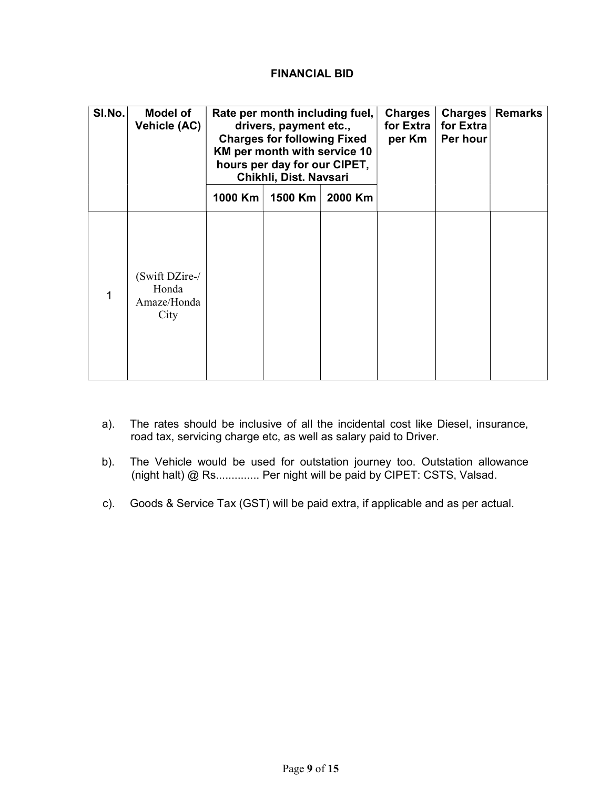### FINANCIAL BID

| SI.No. | <b>Model of</b><br>Vehicle (AC)                | Rate per month including fuel,<br>drivers, payment etc.,<br><b>Charges for following Fixed</b><br>KM per month with service 10<br>hours per day for our CIPET,<br>Chikhli, Dist. Navsari |         | <b>Charges</b><br>for Extra<br>per Km | Charges<br>for Extra<br>Per hour | <b>Remarks</b> |  |
|--------|------------------------------------------------|------------------------------------------------------------------------------------------------------------------------------------------------------------------------------------------|---------|---------------------------------------|----------------------------------|----------------|--|
|        |                                                | 1000 Km                                                                                                                                                                                  | 1500 Km | 2000 Km                               |                                  |                |  |
| 1      | (Swift DZire-/<br>Honda<br>Amaze/Honda<br>City |                                                                                                                                                                                          |         |                                       |                                  |                |  |

- a). The rates should be inclusive of all the incidental cost like Diesel, insurance, road tax, servicing charge etc, as well as salary paid to Driver.
- b). The Vehicle would be used for outstation journey too. Outstation allowance (night halt) @ Rs.............. Per night will be paid by CIPET: CSTS, Valsad.
- c). Goods & Service Tax (GST) will be paid extra, if applicable and as per actual.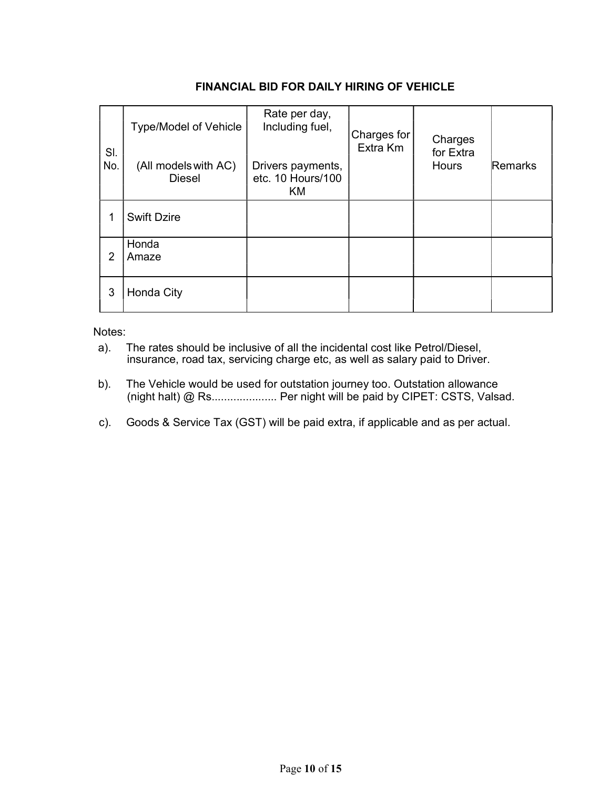|                | <b>Type/Model of Vehicle</b>          | Rate per day,<br>Including fuel,                    | Charges for | Charges<br>for Extra<br><b>Hours</b> |         |
|----------------|---------------------------------------|-----------------------------------------------------|-------------|--------------------------------------|---------|
| SI.<br>No.     | (All models with AC)<br><b>Diesel</b> | Drivers payments,<br>etc. 10 Hours/100<br><b>KM</b> | Extra Km    |                                      | Remarks |
|                | <b>Swift Dzire</b>                    |                                                     |             |                                      |         |
| $\overline{2}$ | Honda<br>Amaze                        |                                                     |             |                                      |         |
| 3              | Honda City                            |                                                     |             |                                      |         |

### FINANCIAL BID FOR DAILY HIRING OF VEHICLE

Notes:

- a). The rates should be inclusive of all the incidental cost like Petrol/Diesel, insurance, road tax, servicing charge etc, as well as salary paid to Driver.
- b). The Vehicle would be used for outstation journey too. Outstation allowance (night halt) @ Rs..................... Per night will be paid by CIPET: CSTS, Valsad.
- c). Goods & Service Tax (GST) will be paid extra, if applicable and as per actual.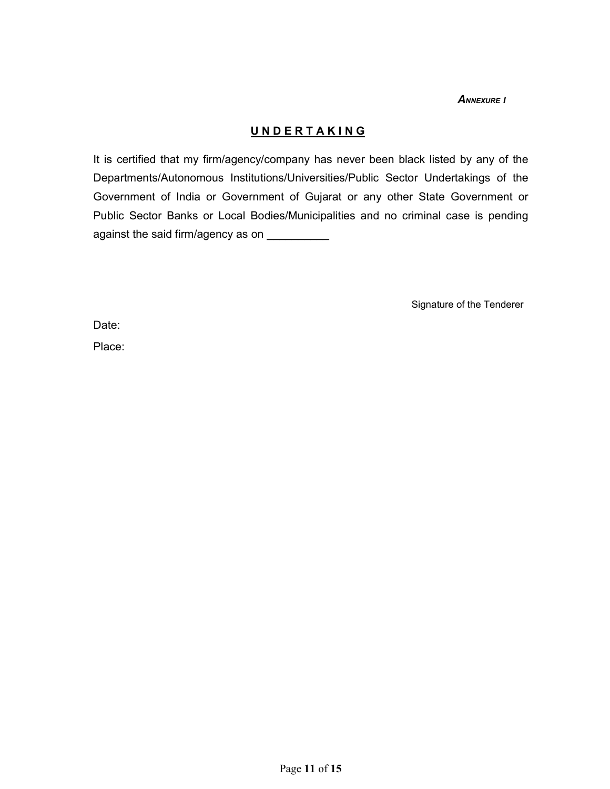**ANNEXURE I** 

# UNDERTAKING

It is certified that my firm/agency/company has never been black listed by any of the Departments/Autonomous Institutions/Universities/Public Sector Undertakings of the Government of India or Government of Gujarat or any other State Government or Public Sector Banks or Local Bodies/Municipalities and no criminal case is pending against the said firm/agency as on \_\_\_\_\_\_\_\_\_\_\_

Signature of the Tenderer

Date:

Place: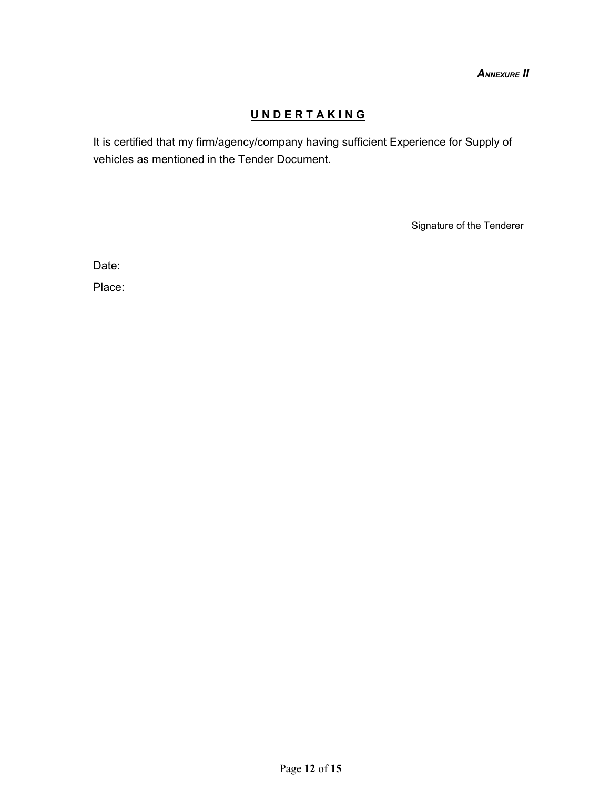**ANNEXURE II** 

# UNDERTAKING

It is certified that my firm/agency/company having sufficient Experience for Supply of vehicles as mentioned in the Tender Document.

Signature of the Tenderer

Date:

Place: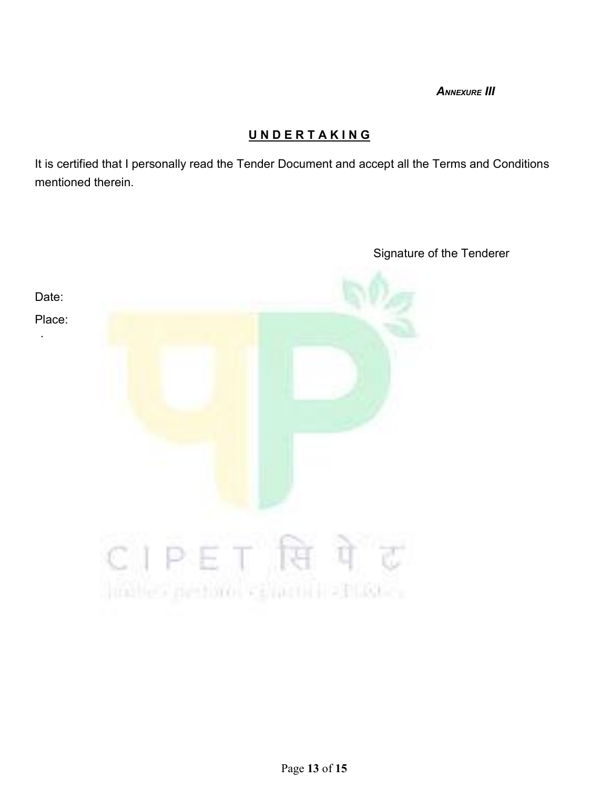**ANNEXURE III** 

# UNDERTAKING

It is certified that I personally read the Tender Document and accept all the Terms and Conditions mentioned therein.



Signature of the Tenderer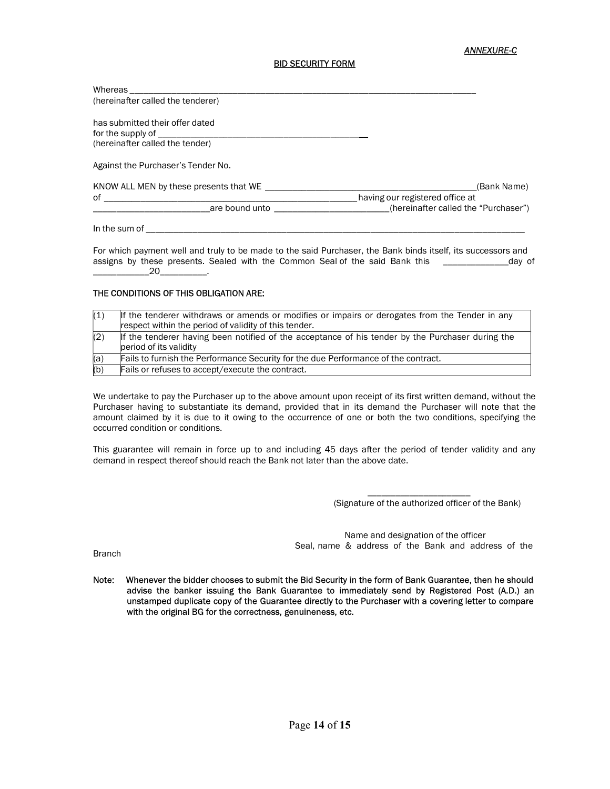#### ANNEXURE-C

#### BID SECURITY FORM

| Whereas                                              |                                      |
|------------------------------------------------------|--------------------------------------|
| (hereinafter called the tenderer)                    |                                      |
| has submitted their offer dated<br>for the supply of |                                      |
| (hereinafter called the tender)                      |                                      |
| Against the Purchaser's Tender No.                   |                                      |
| KNOW ALL MEN by these presents that WE ____          | (Bank Name)                          |
| of                                                   | having our registered office at      |
| are bound unto                                       | (hereinafter called the "Purchaser") |
| In the sum of                                        |                                      |

For which payment well and truly to be made to the said Purchaser, the Bank binds itself, its successors and assigns by these presents. Sealed with the Common Seal of the said Bank this \_\_\_\_\_\_\_\_\_\_\_\_\_\_\_\_\_\_day of  $20$ 

#### THE CONDITIONS OF THIS OBLIGATION ARE:

| (1) | If the tenderer withdraws or amends or modifies or impairs or derogates from the Tender in any   |  |  |  |
|-----|--------------------------------------------------------------------------------------------------|--|--|--|
|     | respect within the period of validity of this tender.                                            |  |  |  |
| (2) | If the tenderer having been notified of the acceptance of his tender by the Purchaser during the |  |  |  |
|     | period of its validity                                                                           |  |  |  |
| (a) | Fails to furnish the Performance Security for the due Performance of the contract.               |  |  |  |
| (b) | Fails or refuses to accept/execute the contract.                                                 |  |  |  |

We undertake to pay the Purchaser up to the above amount upon receipt of its first written demand, without the Purchaser having to substantiate its demand, provided that in its demand the Purchaser will note that the amount claimed by it is due to it owing to the occurrence of one or both the two conditions, specifying the occurred condition or conditions.

This guarantee will remain in force up to and including 45 days after the period of tender validity and any demand in respect thereof should reach the Bank not later than the above date.

> \_\_\_\_\_\_\_\_\_\_\_\_\_\_\_\_\_\_\_\_\_\_ (Signature of the authorized officer of the Bank)

Name and designation of the officer Seal, name & address of the Bank and address of the

Branch

Note: Whenever the bidder chooses to submit the Bid Security in the form of Bank Guarantee, then he should advise the banker issuing the Bank Guarantee to immediately send by Registered Post (A.D.) an unstamped duplicate copy of the Guarantee directly to the Purchaser with a covering letter to compare with the original BG for the correctness, genuineness, etc.